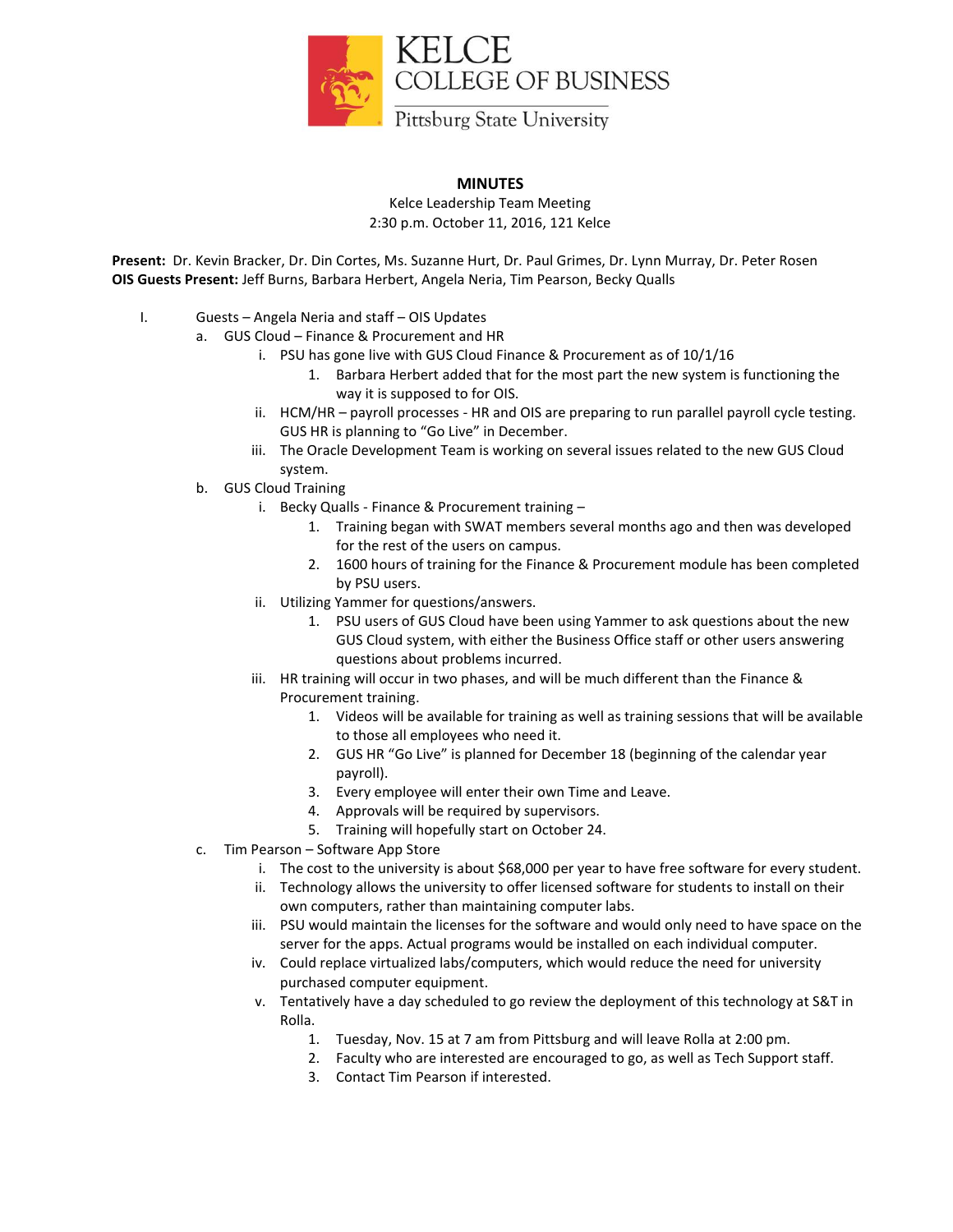

## **MINUTES**

Kelce Leadership Team Meeting 2:30 p.m. October 11, 2016, 121 Kelce

**Present:** Dr. Kevin Bracker, Dr. Din Cortes, Ms. Suzanne Hurt, Dr. Paul Grimes, Dr. Lynn Murray, Dr. Peter Rosen **OIS Guests Present:** Jeff Burns, Barbara Herbert, Angela Neria, Tim Pearson, Becky Qualls

- I. Guests Angela Neria and staff OIS Updates
	- a. GUS Cloud Finance & Procurement and HR
		- i. PSU has gone live with GUS Cloud Finance & Procurement as of 10/1/16
			- 1. Barbara Herbert added that for the most part the new system is functioning the way it is supposed to for OIS.
		- ii. HCM/HR payroll processes HR and OIS are preparing to run parallel payroll cycle testing. GUS HR is planning to "Go Live" in December.
		- iii. The Oracle Development Team is working on several issues related to the new GUS Cloud system.
	- b. GUS Cloud Training
		- i. Becky Qualls Finance & Procurement training
			- 1. Training began with SWAT members several months ago and then was developed for the rest of the users on campus.
			- 2. 1600 hours of training for the Finance & Procurement module has been completed by PSU users.
		- ii. Utilizing Yammer for questions/answers.
			- 1. PSU users of GUS Cloud have been using Yammer to ask questions about the new GUS Cloud system, with either the Business Office staff or other users answering questions about problems incurred.
		- iii. HR training will occur in two phases, and will be much different than the Finance & Procurement training.
			- 1. Videos will be available for training as well as training sessions that will be available to those all employees who need it.
			- 2. GUS HR "Go Live" is planned for December 18 (beginning of the calendar year payroll).
			- 3. Every employee will enter their own Time and Leave.
			- 4. Approvals will be required by supervisors.
			- 5. Training will hopefully start on October 24.
	- c. Tim Pearson Software App Store
		- i. The cost to the university is about \$68,000 per year to have free software for every student.
		- ii. Technology allows the university to offer licensed software for students to install on their own computers, rather than maintaining computer labs.
		- iii. PSU would maintain the licenses for the software and would only need to have space on the server for the apps. Actual programs would be installed on each individual computer.
		- iv. Could replace virtualized labs/computers, which would reduce the need for university purchased computer equipment.
		- v. Tentatively have a day scheduled to go review the deployment of this technology at S&T in Rolla.
			- 1. Tuesday, Nov. 15 at 7 am from Pittsburg and will leave Rolla at 2:00 pm.
			- 2. Faculty who are interested are encouraged to go, as well as Tech Support staff.
			- 3. Contact Tim Pearson if interested.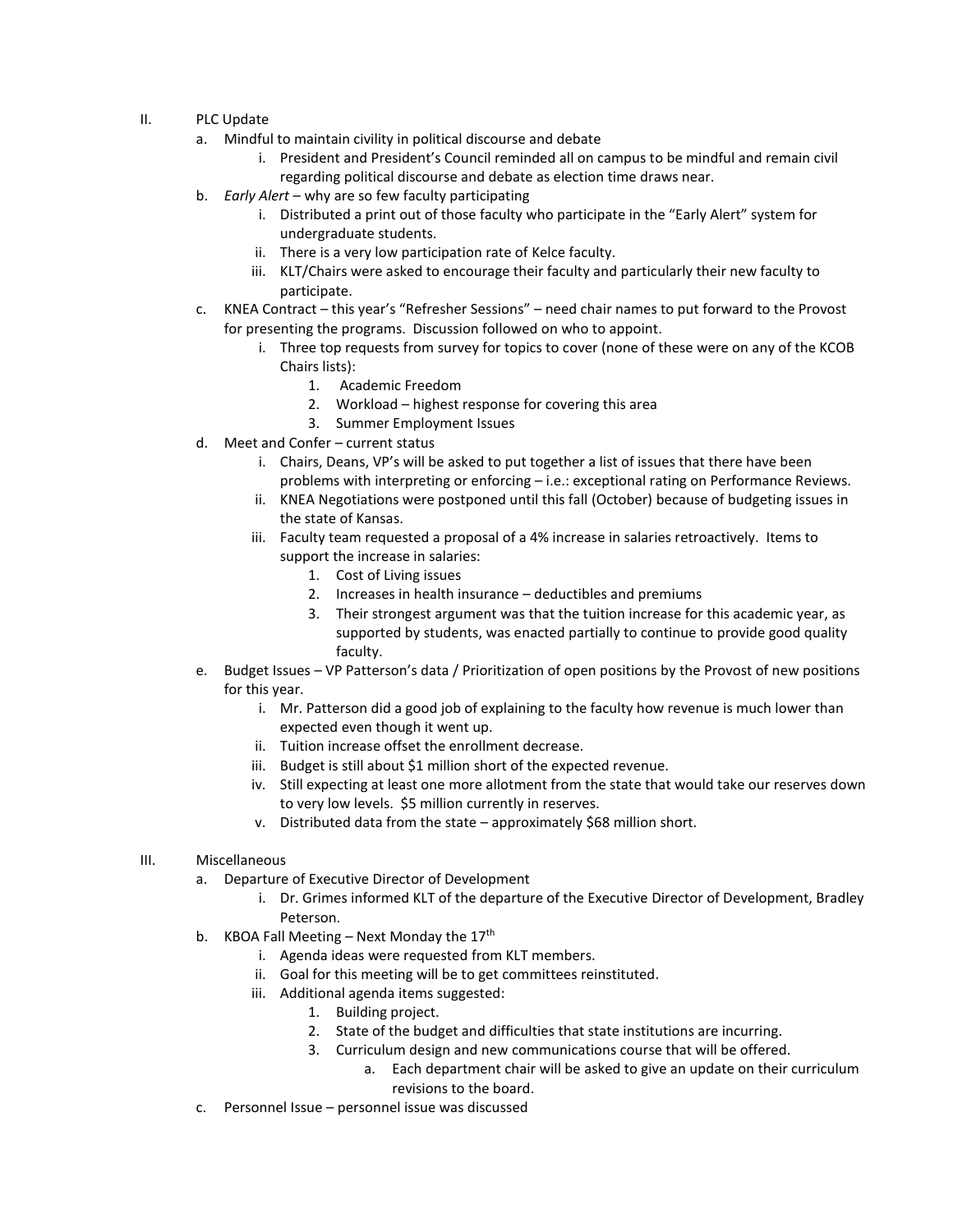- II. PLC Update
	- a. Mindful to maintain civility in political discourse and debate
		- i. President and President's Council reminded all on campus to be mindful and remain civil regarding political discourse and debate as election time draws near.
	- b. *Early Alert* why are so few faculty participating
		- i. Distributed a print out of those faculty who participate in the "Early Alert" system for undergraduate students.
		- ii. There is a very low participation rate of Kelce faculty.
		- iii. KLT/Chairs were asked to encourage their faculty and particularly their new faculty to participate.
	- c. KNEA Contract this year's "Refresher Sessions" need chair names to put forward to the Provost for presenting the programs. Discussion followed on who to appoint.
		- i. Three top requests from survey for topics to cover (none of these were on any of the KCOB Chairs lists):
			- 1. Academic Freedom
			- 2. Workload highest response for covering this area
			- 3. Summer Employment Issues
	- d. Meet and Confer current status
		- i. Chairs, Deans, VP's will be asked to put together a list of issues that there have been problems with interpreting or enforcing – i.e.: exceptional rating on Performance Reviews.
		- ii. KNEA Negotiations were postponed until this fall (October) because of budgeting issues in the state of Kansas.
		- iii. Faculty team requested a proposal of a 4% increase in salaries retroactively. Items to support the increase in salaries:
			- 1. Cost of Living issues
			- 2. Increases in health insurance deductibles and premiums
			- 3. Their strongest argument was that the tuition increase for this academic year, as supported by students, was enacted partially to continue to provide good quality faculty.
	- e. Budget Issues VP Patterson's data / Prioritization of open positions by the Provost of new positions for this year.
		- i. Mr. Patterson did a good job of explaining to the faculty how revenue is much lower than expected even though it went up.
		- ii. Tuition increase offset the enrollment decrease.
		- iii. Budget is still about \$1 million short of the expected revenue.
		- iv. Still expecting at least one more allotment from the state that would take our reserves down to very low levels. \$5 million currently in reserves.
		- v. Distributed data from the state approximately \$68 million short.
- III. Miscellaneous
	- a. Departure of Executive Director of Development
		- i. Dr. Grimes informed KLT of the departure of the Executive Director of Development, Bradley Peterson.
	- b. KBOA Fall Meeting Next Monday the  $17<sup>th</sup>$ 
		- i. Agenda ideas were requested from KLT members.
		- ii. Goal for this meeting will be to get committees reinstituted.
		- iii. Additional agenda items suggested:
			- 1. Building project.
			- 2. State of the budget and difficulties that state institutions are incurring.
			- 3. Curriculum design and new communications course that will be offered.
				- a. Each department chair will be asked to give an update on their curriculum revisions to the board.
	- c. Personnel Issue personnel issue was discussed